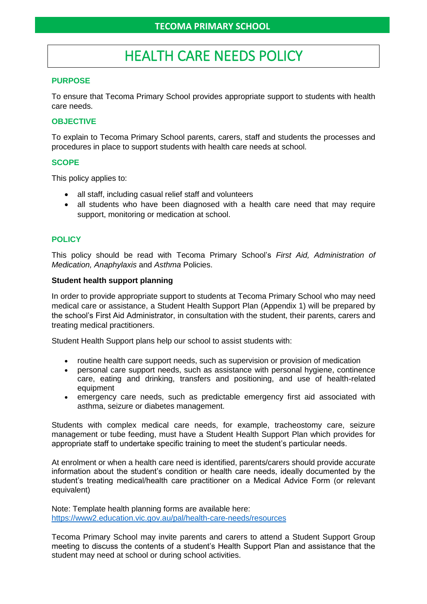# HEALTH CARE NEEDS POLICY

#### **PURPOSE**

To ensure that Tecoma Primary School provides appropriate support to students with health care needs.

#### **OBJECTIVE**

To explain to Tecoma Primary School parents, carers, staff and students the processes and procedures in place to support students with health care needs at school.

#### **SCOPE**

This policy applies to:

- all staff, including casual relief staff and volunteers
- all students who have been diagnosed with a health care need that may require support, monitoring or medication at school.

### **POLICY**

This policy should be read with Tecoma Primary School's *First Aid, Administration of Medication, Anaphylaxis* and *Asthma* Policies.

#### **Student health support planning**

In order to provide appropriate support to students at Tecoma Primary School who may need medical care or assistance, a Student Health Support Plan (Appendix 1) will be prepared by the school's First Aid Administrator, in consultation with the student, their parents, carers and treating medical practitioners.

Student Health Support plans help our school to assist students with:

- routine health care support needs, such as supervision or provision of medication
- personal care support needs, such as assistance with personal hygiene, continence care, eating and drinking, transfers and positioning, and use of health-related equipment
- emergency care needs, such as predictable emergency first aid associated with asthma, seizure or diabetes management.

Students with complex medical care needs, for example, tracheostomy care, seizure management or tube feeding, must have a Student Health Support Plan which provides for appropriate staff to undertake specific training to meet the student's particular needs.

At enrolment or when a health care need is identified, parents/carers should provide accurate information about the student's condition or health care needs, ideally documented by the student's treating medical/health care practitioner on a Medical Advice Form (or relevant equivalent)

Note: Template health planning forms are available here: <https://www2.education.vic.gov.au/pal/health-care-needs/resources>

Tecoma Primary School may invite parents and carers to attend a Student Support Group meeting to discuss the contents of a student's Health Support Plan and assistance that the student may need at school or during school activities.